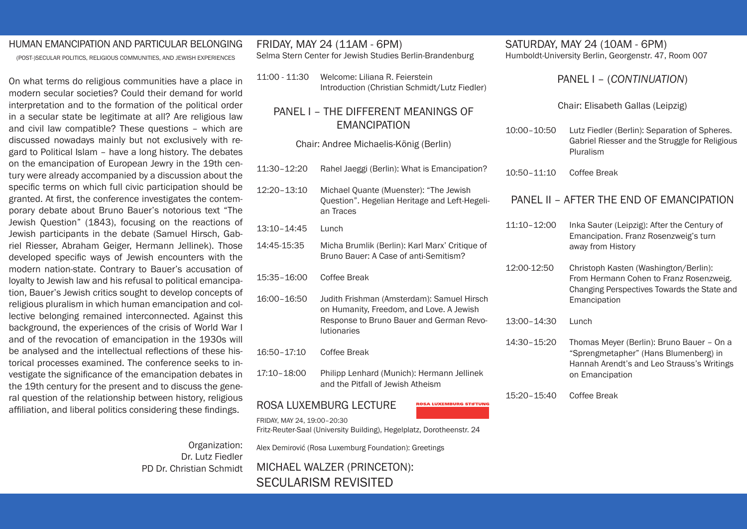#### HUMAN EMANCIPATION AND PARTICULAR BELONGING

(POST-)SECULAR POLITICS, RELIGIOUS COMMUNITIES, AND JEWISH EXPERIENCES

On what terms do religious communities have a place in modern secular societies? Could their demand for world interpretation and to the formation of the political order in a secular state be legitimate at all? Are religious law and civil law compatible? These questions – which are discussed nowadays mainly but not exclusively with regard to Political Islam – have a long history. The debates on the emancipation of European Jewry in the 19th century were already accompanied by a discussion about the specific terms on which full civic participation should be granted. At first, the conference investigates the contemporary debate about Bruno Bauer's notorious text "The Jewish Question" (1843), focusing on the reactions of Jewish participants in the debate (Samuel Hirsch, Gabriel Riesser, Abraham Geiger, Hermann Jellinek). Those developed specific ways of Jewish encounters with the modern nation-state. Contrary to Bauer's accusation of loyalty to Jewish law and his refusal to political emancipation, Bauer's Jewish critics sought to develop concepts of religious pluralism in which human emancipation and collective belonging remained interconnected. Against this background, the experiences of the crisis of World War I and of the revocation of emancipation in the 1930s will be analysed and the intellectual reflections of these historical processes examined. The conference seeks to investigate the significance of the emancipation debates in the 19th century for the present and to discuss the general question of the relationship between history, religious affiliation, and liberal politics considering these findings.

> Organization: Dr. Lutz Fiedler PD Dr. Christian Schmidt

FRIDAY, MAY 24 (11AM - 6PM) Selma Stern Center for Jewish Studies Berlin-Brandenburg 11:00 - 11:30 Welcome: Liliana R. Feierstein

Introduction (Christian Schmidt/Lutz Fiedler)

## PANEL I – THE DIFFERENT MEANINGS OF EMANCIPATION

Chair: Andree Michaelis-König (Berlin)

11:30–12:20 Rahel Jaeggi (Berlin): What is Emancipation? 12:20–13:10 Michael Quante (Muenster): "The Jewish Question". Hegelian Heritage and Left-Hegeli an Traces 13:10–14:45 Lunch 14:45-15:35 Micha Brumlik (Berlin): Karl Marx' Critique of Bruno Bauer: A Case of anti-Semitism? 15:35–16:00 Coffee Break 16:00–16:50 Judith Frishman (Amsterdam): Samuel Hirsch on Humanity, Freedom, and Love. A Jewish Response to Bruno Bauer and German Revo lutionaries 16:50–17:10 Coffee Break 17:10–18:00 Philipp Lenhard (Munich): Hermann Jellinek and the Pitfall of Jewish Atheism

Fritz-Reuter-Saal (University Building), Hegelplatz, Dorotheenstr. 24

#### ROSA LUXEMBURG LECTURE

FRIDAY, MAY 24, 19:00–20:30

ROSA LUXEMBURG STIFTUNG

SATURDAY, MAY 24 (10AM - 6PM) Humboldt-University Berlin, Georgenstr. 47, Room 007

#### PANEL I – (*CONTINUATION*)

Chair: Elisabeth Gallas (Leipzig)

10:00–10:50 Lutz Fiedler (Berlin): Separation of Spheres. Gabriel Riesser and the Struggle for Religious Pluralism

10:50–11:10 Coffee Break

#### PANEL II – AFTER THE END OF EMANCIPATION

- 11:10–12:00 Inka Sauter (Leipzig): After the Century of Emancipation. Franz Rosenzweig's turn away from History
- 12:00-12:50 Christoph Kasten (Washington/Berlin): From Hermann Cohen to Franz Rosenzweig. Changing Perspectives Towards the State and Emancipation
- 13:00–14:30 Lunch
- 14:30–15:20 Thomas Meyer (Berlin): Bruno Bauer On a "Sprengmetapher" (Hans Blumenberg) in Hannah Arendt's and Leo Strauss's Writings on Emancipation

15:20–15:40 Coffee Break

Alex Demirović (Rosa Luxemburg Foundation): Greetings

MICHAEL WALZER (PRINCETON): SECULARISM REVISITED